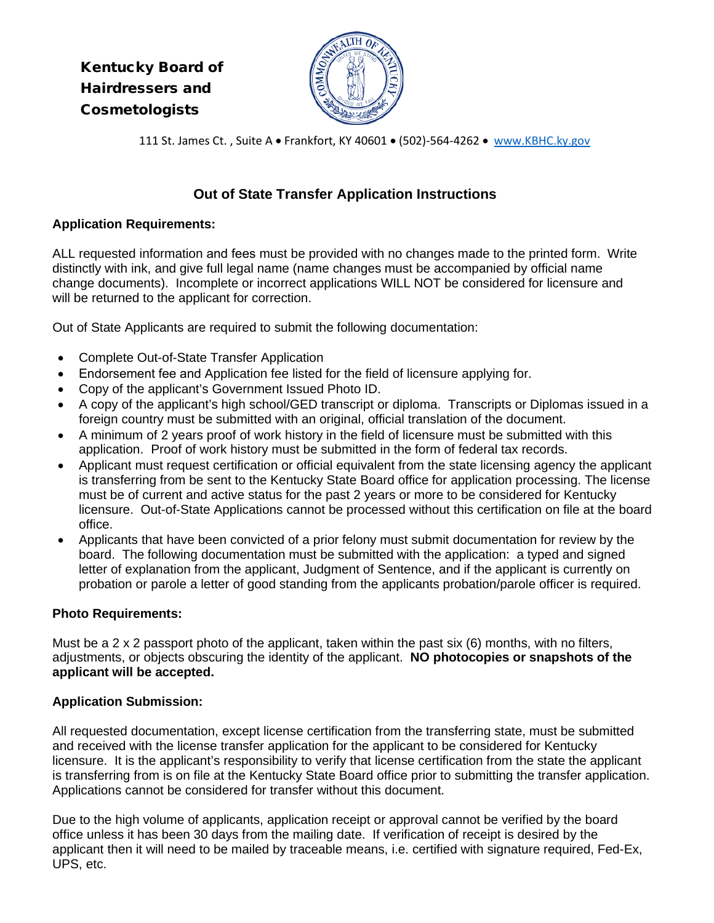# Kentucky Board of Hairdressers and Cosmetologists



111 St. James Ct. , Suite A • Frankfort, KY 40601 • (502)-564-4262 • [www.KBHC.ky.gov](http://www.kbhc.ky.gov/)

### **Out of State Transfer Application Instructions**

#### **Application Requirements:**

ALL requested information and fees must be provided with no changes made to the printed form. Write distinctly with ink, and give full legal name (name changes must be accompanied by official name change documents). Incomplete or incorrect applications WILL NOT be considered for licensure and will be returned to the applicant for correction.

Out of State Applicants are required to submit the following documentation:

- Complete Out-of-State Transfer Application
- Endorsement fee and Application fee listed for the field of licensure applying for.
- Copy of the applicant's Government Issued Photo ID.
- A copy of the applicant's high school/GED transcript or diploma. Transcripts or Diplomas issued in a foreign country must be submitted with an original, official translation of the document.
- A minimum of 2 years proof of work history in the field of licensure must be submitted with this application. Proof of work history must be submitted in the form of federal tax records.
- Applicant must request certification or official equivalent from the state licensing agency the applicant is transferring from be sent to the Kentucky State Board office for application processing. The license must be of current and active status for the past 2 years or more to be considered for Kentucky licensure. Out-of-State Applications cannot be processed without this certification on file at the board office.
- Applicants that have been convicted of a prior felony must submit documentation for review by the board. The following documentation must be submitted with the application: a typed and signed letter of explanation from the applicant, Judgment of Sentence, and if the applicant is currently on probation or parole a letter of good standing from the applicants probation/parole officer is required.

#### **Photo Requirements:**

Must be a 2 x 2 passport photo of the applicant, taken within the past six (6) months, with no filters, adjustments, or objects obscuring the identity of the applicant. **NO photocopies or snapshots of the applicant will be accepted.** 

#### **Application Submission:**

All requested documentation, except license certification from the transferring state, must be submitted and received with the license transfer application for the applicant to be considered for Kentucky licensure. It is the applicant's responsibility to verify that license certification from the state the applicant is transferring from is on file at the Kentucky State Board office prior to submitting the transfer application. Applications cannot be considered for transfer without this document.

Due to the high volume of applicants, application receipt or approval cannot be verified by the board office unless it has been 30 days from the mailing date. If verification of receipt is desired by the applicant then it will need to be mailed by traceable means, i.e. certified with signature required, Fed-Ex, UPS, etc.